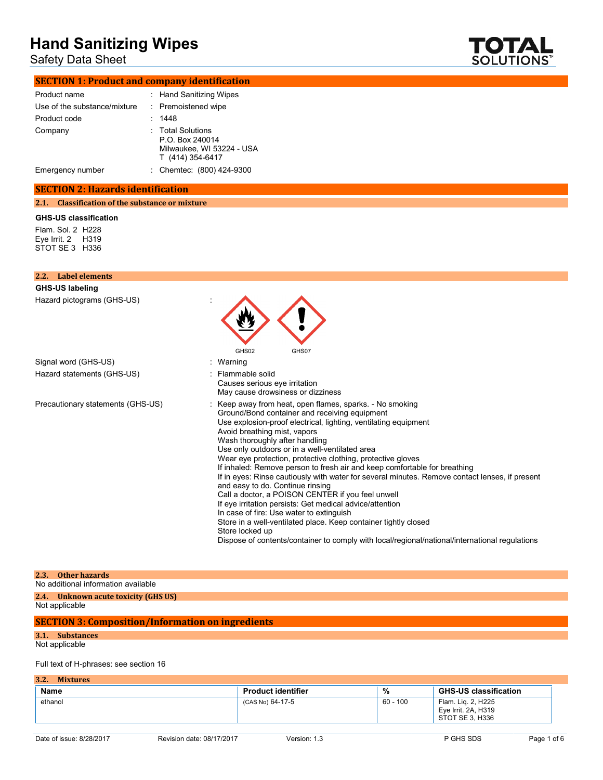### Safety Data Sheet



### **SECTION 1: Product and company identification**

| Product name                 | : Hand Sanitizing Wipes                                                               |
|------------------------------|---------------------------------------------------------------------------------------|
| Use of the substance/mixture | : Premoistened wipe                                                                   |
| Product code                 | : 1448                                                                                |
| Company                      | : Total Solutions<br>P.O. Box 240014<br>Milwaukee, WI 53224 - USA<br>T (414) 354-6417 |
| Emergency number             | : Chemtec: (800) 424-9300                                                             |

### **SECTION 2: Hazards identification**

**2.1. Classification of the substance or mixture**

### **GHS-US classification**

Flam. Sol. 2 H228 Eye Irrit. 2 H319 STOT SE 3 H336

| 2.2. Label elements               |                                                                                                                                                                                                                                                                                                                                                                                                                                                                                                                                                                                                                                                                                                                                                                                                                                                                                                                                       |
|-----------------------------------|---------------------------------------------------------------------------------------------------------------------------------------------------------------------------------------------------------------------------------------------------------------------------------------------------------------------------------------------------------------------------------------------------------------------------------------------------------------------------------------------------------------------------------------------------------------------------------------------------------------------------------------------------------------------------------------------------------------------------------------------------------------------------------------------------------------------------------------------------------------------------------------------------------------------------------------|
| <b>GHS-US labeling</b>            |                                                                                                                                                                                                                                                                                                                                                                                                                                                                                                                                                                                                                                                                                                                                                                                                                                                                                                                                       |
| Hazard pictograms (GHS-US)        | GHS02<br>GHS07                                                                                                                                                                                                                                                                                                                                                                                                                                                                                                                                                                                                                                                                                                                                                                                                                                                                                                                        |
| Signal word (GHS-US)              | Warning                                                                                                                                                                                                                                                                                                                                                                                                                                                                                                                                                                                                                                                                                                                                                                                                                                                                                                                               |
| Hazard statements (GHS-US)        | Flammable solid<br>Causes serious eye irritation<br>May cause drowsiness or dizziness                                                                                                                                                                                                                                                                                                                                                                                                                                                                                                                                                                                                                                                                                                                                                                                                                                                 |
| Precautionary statements (GHS-US) | Keep away from heat, open flames, sparks. - No smoking<br>Ground/Bond container and receiving equipment<br>Use explosion-proof electrical, lighting, ventilating equipment<br>Avoid breathing mist, vapors<br>Wash thoroughly after handling<br>Use only outdoors or in a well-ventilated area<br>Wear eye protection, protective clothing, protective gloves<br>If inhaled: Remove person to fresh air and keep comfortable for breathing<br>If in eyes: Rinse cautiously with water for several minutes. Remove contact lenses, if present<br>and easy to do. Continue rinsing<br>Call a doctor, a POISON CENTER if you feel unwell<br>If eye irritation persists: Get medical advice/attention<br>In case of fire: Use water to extinguish<br>Store in a well-ventilated place. Keep container tightly closed<br>Store locked up<br>Dispose of contents/container to comply with local/regional/national/international regulations |

| 2.3. Other hazards                   |
|--------------------------------------|
| No additional information available  |
| 2.4. Unknown acute toxicity (GHS US) |
| Not applicable                       |

### **SECTION 3: Composition/Information on ingredients**

### **3.1. Substances**

Not applicable

### Full text of H-phrases: see section 16

### **3.2. Mixtures**

| <b>Name</b> | <b>Product identifier</b> | %        | <b>GHS-US classification</b>                                 |
|-------------|---------------------------|----------|--------------------------------------------------------------|
| ethanol     | (CAS No) 64-17-5          | 60 - 100 | Flam. Lig. 2, H225<br>Eye Irrit. 2A, H319<br>STOT SE 3, H336 |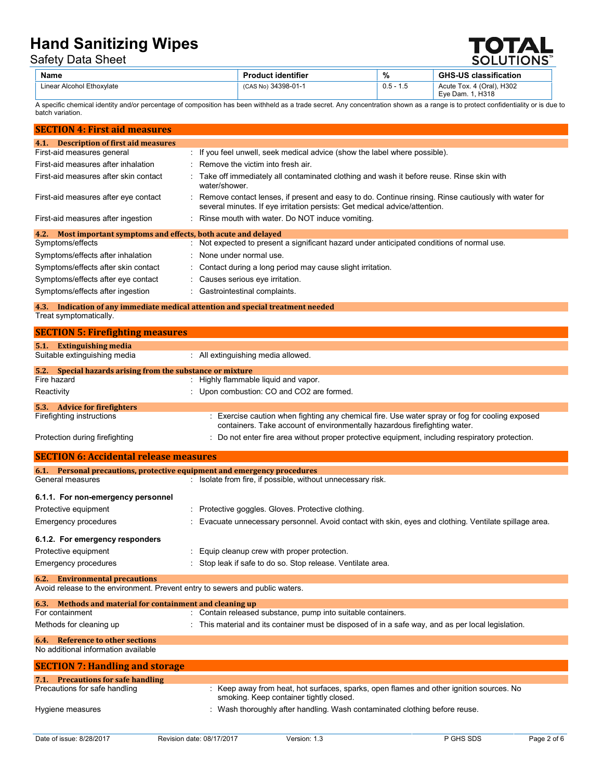Safety Data Sheet

|  | $\bigcup_{i=1}^n$<br><b>SOLUTIONS</b> <sup>**</sup> |
|--|-----------------------------------------------------|
|  |                                                     |

| Name                      | <b>Product identifier</b> | %   | <b>GHS-US classification</b> |
|---------------------------|---------------------------|-----|------------------------------|
| Linear Alcohol Ethoxylate | (CAS No) 34398-01-1       | 0.5 | Acute Tox. 4 (Oral), H302    |
|                           |                           |     | H318<br>Eve Dam.             |

A specific chemical identity and/or percentage of composition has been withheld as a trade secret. Any concentration shown as a range is to protect confidentiality or is due to batch variation.

| <b>SECTION 4: First aid measures</b>                                |                                                                                                                                                                                   |
|---------------------------------------------------------------------|-----------------------------------------------------------------------------------------------------------------------------------------------------------------------------------|
| <b>Description of first aid measures</b><br>4.1.                    |                                                                                                                                                                                   |
| First-aid measures general                                          | : If you feel unwell, seek medical advice (show the label where possible).                                                                                                        |
| First-aid measures after inhalation                                 | $\therefore$ Remove the victim into fresh air.                                                                                                                                    |
| First-aid measures after skin contact                               | Take off immediately all contaminated clothing and wash it before reuse. Rinse skin with<br>water/shower.                                                                         |
| First-aid measures after eye contact                                | Remove contact lenses, if present and easy to do. Continue rinsing. Rinse cautiously with water for<br>several minutes. If eye irritation persists: Get medical advice/attention. |
| First-aid measures after ingestion                                  | Rinse mouth with water. Do NOT induce vomiting.                                                                                                                                   |
| Most important symptoms and effects, both acute and delayed<br>4.2. |                                                                                                                                                                                   |
| Symptoms/effects                                                    | : Not expected to present a significant hazard under anticipated conditions of normal use.                                                                                        |
| Symptoms/effects after inhalation                                   | : None under normal use.                                                                                                                                                          |
| Symptoms/effects after skin contact                                 | : Contact during a long period may cause slight irritation.                                                                                                                       |
| Symptoms/effects after eye contact                                  | : Causes serious eye irritation.                                                                                                                                                  |
| Symptoms/effects after ingestion                                    | Gastrointestinal complaints.                                                                                                                                                      |
| 4.3.                                                                | Indication of any immediate medical attention and special treatment needed                                                                                                        |
| Treat symptomatically.                                              |                                                                                                                                                                                   |

| <b>SECTION 5: Firefighting measures</b>                       |                                                                                                                                                                             |
|---------------------------------------------------------------|-----------------------------------------------------------------------------------------------------------------------------------------------------------------------------|
| 5.1.<br><b>Extinguishing media</b>                            |                                                                                                                                                                             |
| Suitable extinguishing media                                  | : All extinguishing media allowed.                                                                                                                                          |
| Special hazards arising from the substance or mixture<br>5.2. |                                                                                                                                                                             |
| Fire hazard                                                   | : Highly flammable liquid and vapor.                                                                                                                                        |
| Reactivity                                                    | : Upon combustion: CO and CO2 are formed.                                                                                                                                   |
| 5.3.<br><b>Advice for firefighters</b>                        |                                                                                                                                                                             |
| Firefighting instructions                                     | : Exercise caution when fighting any chemical fire. Use water spray or fog for cooling exposed<br>containers. Take account of environmentally hazardous firefighting water. |
| Protection during firefighting                                | : Do not enter fire area without proper protective equipment, including respiratory protection.                                                                             |

| <b>SECTION 6: Accidental release measures</b>                                |                                                                                                                                    |
|------------------------------------------------------------------------------|------------------------------------------------------------------------------------------------------------------------------------|
| 6.1. Personal precautions, protective equipment and emergency procedures     |                                                                                                                                    |
| General measures                                                             | : Isolate from fire, if possible, without unnecessary risk.                                                                        |
| 6.1.1. For non-emergency personnel                                           |                                                                                                                                    |
| Protective equipment                                                         | : Protective goggles. Gloves. Protective clothing.                                                                                 |
| Emergency procedures                                                         | : Evacuate unnecessary personnel. Avoid contact with skin, eyes and clothing. Ventilate spillage area.                             |
| 6.1.2. For emergency responders                                              |                                                                                                                                    |
| Protective equipment                                                         | : Equip cleanup crew with proper protection.                                                                                       |
| <b>Emergency procedures</b>                                                  | : Stop leak if safe to do so. Stop release. Ventilate area.                                                                        |
| <b>6.2.</b> Environmental precautions                                        |                                                                                                                                    |
| Avoid release to the environment. Prevent entry to sewers and public waters. |                                                                                                                                    |
| 6.3. Methods and material for containment and cleaning up                    |                                                                                                                                    |
| For containment                                                              | : Contain released substance, pump into suitable containers.                                                                       |
| Methods for cleaning up                                                      | : This material and its container must be disposed of in a safe way, and as per local legislation.                                 |
| 6.4. Reference to other sections                                             |                                                                                                                                    |
| No additional information available                                          |                                                                                                                                    |
| <b>SECTION 7: Handling and storage</b>                                       |                                                                                                                                    |
| 7.1. Precautions for safe handling                                           |                                                                                                                                    |
| Precautions for safe handling                                                | : Keep away from heat, hot surfaces, sparks, open flames and other ignition sources. No<br>smoking. Keep container tightly closed. |
| Hygiene measures                                                             | : Wash thoroughly after handling. Wash contaminated clothing before reuse.                                                         |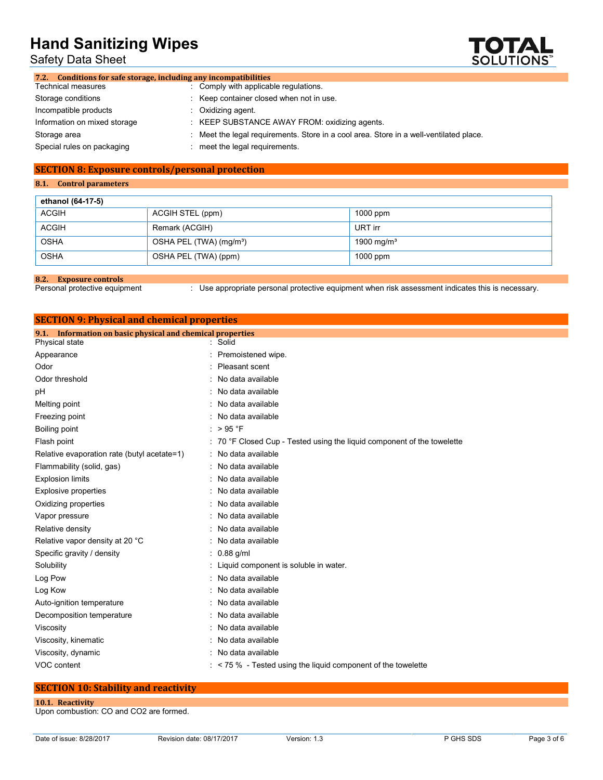Safety Data Sheet



| 7.2. Conditions for safe storage, including any incompatibilities |                                                                                      |
|-------------------------------------------------------------------|--------------------------------------------------------------------------------------|
| <b>Technical measures</b>                                         | : Comply with applicable regulations.                                                |
| Storage conditions                                                | Keep container closed when not in use.                                               |
| Incompatible products                                             | $:$ Oxidizing agent.                                                                 |
| Information on mixed storage                                      | : KEEP SUBSTANCE AWAY FROM: oxidizing agents.                                        |
| Storage area                                                      | Meet the legal requirements. Store in a cool area. Store in a well-ventilated place. |
| Special rules on packaging                                        | meet the legal requirements.                                                         |
|                                                                   |                                                                                      |

### **SECTION 8: Exposure controls/personal protection**

### **8.1. Control parameters**

| ethanol (64-17-5) |                                     |                        |
|-------------------|-------------------------------------|------------------------|
| <b>ACGIH</b>      | ACGIH STEL (ppm)                    | $1000$ ppm             |
| <b>ACGIH</b>      | Remark (ACGIH)                      | URT irr                |
| <b>OSHA</b>       | OSHA PEL (TWA) (mg/m <sup>3</sup> ) | 1900 mg/m <sup>3</sup> |
| <b>OSHA</b>       | OSHA PEL (TWA) (ppm)                | $1000$ ppm             |

**8.2. Exposure controls**

: Use appropriate personal protective equipment when risk assessment indicates this is necessary.

## **SECTION 9: Physical and chemical properties**

| 9.1. Information on basic physical and chemical properties |  |                                                                         |  |  |
|------------------------------------------------------------|--|-------------------------------------------------------------------------|--|--|
| Physical state                                             |  | : Solid                                                                 |  |  |
| Appearance                                                 |  | Premoistened wipe.                                                      |  |  |
| Odor                                                       |  | Pleasant scent                                                          |  |  |
| Odor threshold                                             |  | No data available                                                       |  |  |
| рH                                                         |  | : No data available                                                     |  |  |
| Melting point                                              |  | No data available                                                       |  |  |
| Freezing point                                             |  | No data available                                                       |  |  |
| Boiling point                                              |  | : $>95$ °F                                                              |  |  |
| Flash point                                                |  | : 70 °F Closed Cup - Tested using the liquid component of the towelette |  |  |
| Relative evaporation rate (butyl acetate=1)                |  | : No data available                                                     |  |  |
| Flammability (solid, gas)                                  |  | No data available                                                       |  |  |
| <b>Explosion limits</b>                                    |  | : No data available                                                     |  |  |
| <b>Explosive properties</b>                                |  | No data available                                                       |  |  |
| Oxidizing properties                                       |  | No data available                                                       |  |  |
| Vapor pressure                                             |  | No data available                                                       |  |  |
| Relative density                                           |  | No data available                                                       |  |  |
| Relative vapor density at 20 °C                            |  | : No data available                                                     |  |  |
| Specific gravity / density                                 |  | $: 0.88$ g/ml                                                           |  |  |
| Solubility                                                 |  | : Liquid component is soluble in water.                                 |  |  |
| Log Pow                                                    |  | No data available                                                       |  |  |
| Log Kow                                                    |  | No data available                                                       |  |  |
| Auto-ignition temperature                                  |  | : No data available                                                     |  |  |
| Decomposition temperature                                  |  | No data available                                                       |  |  |
| Viscosity                                                  |  | : No data available                                                     |  |  |
| Viscosity, kinematic                                       |  | No data available                                                       |  |  |
| Viscosity, dynamic                                         |  | : No data available                                                     |  |  |
| VOC content                                                |  | $:$ < 75 % - Tested using the liquid component of the towelette         |  |  |
|                                                            |  |                                                                         |  |  |

### **SECTION 10: Stability and reactivity**

### **10.1. Reactivity**

Upon combustion: CO and CO2 are formed.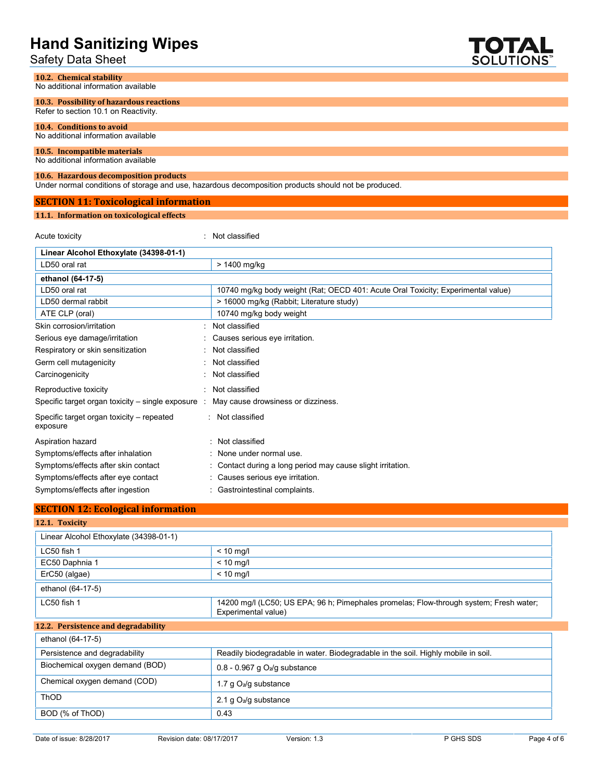| -land Sanitizing Wipes<br>Safety Data Sheet                                      |                                                                                                      | TOTAL<br><b>SOLUTIONS</b> |
|----------------------------------------------------------------------------------|------------------------------------------------------------------------------------------------------|---------------------------|
| 10.2. Chemical stability<br>No additional information available                  |                                                                                                      |                           |
| 10.3. Possibility of hazardous reactions<br>Refer to section 10.1 on Reactivity. |                                                                                                      |                           |
| 10.4. Conditions to avoid<br>No additional information available                 |                                                                                                      |                           |
| 10.5. Incompatible materials<br>No additional information available              |                                                                                                      |                           |
| 10.6. Hazardous decomposition products                                           | Under normal conditions of storage and use, hazardous decomposition products should not be produced. |                           |
| <b>SECTION 11: Toxicological information</b>                                     |                                                                                                      |                           |
| 11.1. Information on toxicological effects                                       |                                                                                                      |                           |
| Acute toxicity                                                                   | : Not classified                                                                                     |                           |
| Linear Alcohol Ethoxylate (34398-01-1)                                           |                                                                                                      |                           |
| LD50 oral rat                                                                    | > 1400 mg/kg                                                                                         |                           |
| ethanol (64-17-5)                                                                |                                                                                                      |                           |
| LD50 oral rat                                                                    | 10740 mg/kg body weight (Rat; OECD 401: Acute Oral Toxicity; Experimental value)                     |                           |
| LD50 dermal rabbit                                                               | > 16000 mg/kg (Rabbit; Literature study)                                                             |                           |
| ATE CLP (oral)                                                                   | 10740 mg/kg body weight                                                                              |                           |
| Skin corrosion/irritation                                                        | Not classified                                                                                       |                           |
| Serious eye damage/irritation                                                    | Causes serious eye irritation.                                                                       |                           |
| Respiratory or skin sensitization                                                | Not classified                                                                                       |                           |
| Germ cell mutagenicity                                                           | Not classified                                                                                       |                           |
| Carcinogenicity                                                                  | Not classified                                                                                       |                           |
| Reproductive toxicity                                                            | Not classified                                                                                       |                           |
| Specific target organ toxicity – single exposure :                               | May cause drowsiness or dizziness.                                                                   |                           |
| Specific target organ toxicity - repeated<br>exposure                            | : Not classified                                                                                     |                           |
| Aspiration hazard                                                                | Not classified                                                                                       |                           |
| Symptoms/effects after inhalation                                                | None under normal use.                                                                               |                           |
| Symptoms/effects after skin contact                                              | Contact during a long period may cause slight irritation.                                            |                           |
| Symptoms/effects after eye contact                                               | Causes serious eve irritation.                                                                       |                           |

Symptoms/effects after ingestion : Gastrointestinal complaints.

### **SECTION 12: Ecological information**

| 12.1. Toxicity                         |                                                                                                               |
|----------------------------------------|---------------------------------------------------------------------------------------------------------------|
| Linear Alcohol Ethoxylate (34398-01-1) |                                                                                                               |
| LC50 fish 1                            | $< 10$ mg/l                                                                                                   |
| EC50 Daphnia 1                         | $< 10$ mg/l                                                                                                   |
| ErC50 (algae)                          | $< 10$ mg/l                                                                                                   |
| ethanol (64-17-5)                      |                                                                                                               |
| LC50 fish 1                            | 14200 mg/l (LC50; US EPA; 96 h; Pimephales promelas; Flow-through system; Fresh water;<br>Experimental value) |
| 12.2. Persistence and degradability    |                                                                                                               |
| ethanol (64-17-5)                      |                                                                                                               |
| Persistence and degradability          | Readily biodegradable in water. Biodegradable in the soil. Highly mobile in soil.                             |
| Biochemical oxygen demand (BOD)        | 0.8 - 0.967 g $O_2$ /g substance                                                                              |
| Chemical oxygen demand (COD)           | 1.7 g $O_2$ /g substance                                                                                      |
| <b>ThOD</b>                            | 2.1 g $O_2$ /g substance                                                                                      |
| BOD (% of ThOD)                        | 0.43                                                                                                          |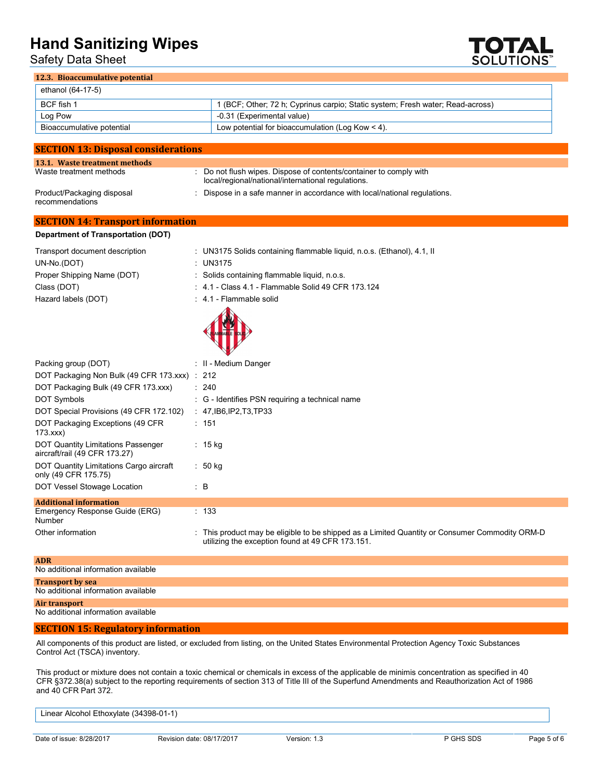Safety Data Sheet



### **12.3. Bioaccumulative potential**

| ethanol (64-17-5)         |                                                                                |
|---------------------------|--------------------------------------------------------------------------------|
| BCF fish 1                | 1 (BCF; Other; 72 h; Cyprinus carpio; Static system; Fresh water; Read-across) |
| Log Pow                   | -0.31 (Experimental value)                                                     |
| Bioaccumulative potential | Low potential for bioaccumulation (Log Kow $\leq$ 4).                          |

| <b>SECTION 13: Disposal considerations</b>    |                                                                                                                        |
|-----------------------------------------------|------------------------------------------------------------------------------------------------------------------------|
| 13.1. Waste treatment methods                 |                                                                                                                        |
| Waste treatment methods                       | Do not flush wipes. Dispose of contents/container to comply with<br>local/regional/national/international regulations. |
| Product/Packaging disposal<br>recommendations | Dispose in a safe manner in accordance with local/national regulations.                                                |

### **SECTION 14: Transport information**

### **Department of Transportation (DOT)**

| Transport document description | : UN3175 Solids containing flammable liquid, n.o.s. (Ethanol), 4.1, II |
|--------------------------------|------------------------------------------------------------------------|
| UN-No.(DOT)                    | : UN3175                                                               |
| Proper Shipping Name (DOT)     | : Solids containing flammable liquid, n.o.s.                           |
| Class (DOT)                    | : 4.1 - Class 4.1 - Flammable Solid 49 CFR 173.124                     |
| Hazard labels (DOT)            | $\div$ 4.1 - Flammable solid                                           |
|                                | $\sqrt{2}$                                                             |



| Packing group (DOT)                                                 | : II - Medium Danger                                                                                                                               |
|---------------------------------------------------------------------|----------------------------------------------------------------------------------------------------------------------------------------------------|
| DOT Packaging Non Bulk (49 CFR 173.xxx) : 212                       |                                                                                                                                                    |
| DOT Packaging Bulk (49 CFR 173.xxx)                                 | : 240                                                                                                                                              |
| <b>DOT Symbols</b>                                                  | $\therefore$ G - Identifies PSN requiring a technical name                                                                                         |
| DOT Special Provisions (49 CFR 172.102)                             | : $47,$ IB6,IP2,T3,TP33                                                                                                                            |
| DOT Packaging Exceptions (49 CFR)<br>173.xxx                        | : 151                                                                                                                                              |
| DOT Quantity Limitations Passenger<br>aircraft/rail (49 CFR 173.27) | $: 15$ kg                                                                                                                                          |
| DOT Quantity Limitations Cargo aircraft<br>only (49 CFR 175.75)     | : 50 kg                                                                                                                                            |
| DOT Vessel Stowage Location                                         | $\therefore$ B                                                                                                                                     |
| <b>Additional information</b>                                       |                                                                                                                                                    |
| Emergency Response Guide (ERG)<br>Number                            | : 133                                                                                                                                              |
| Other information                                                   | : This product may be eligible to be shipped as a Limited Quantity or Consumer Commodity ORM-D<br>utilizing the exception found at 49 CFR 173.151. |

| <b>ADR</b>                          |
|-------------------------------------|
| No additional information available |
| <b>Transport by sea</b>             |
| No additional information available |
| Air transport                       |
| No additional information available |
|                                     |

### **SECTION 15: Regulatory information**

All components of this product are listed, or excluded from listing, on the United States Environmental Protection Agency Toxic Substances Control Act (TSCA) inventory.

This product or mixture does not contain a toxic chemical or chemicals in excess of the applicable de minimis concentration as specified in 40 CFR §372.38(a) subject to the reporting requirements of section 313 of Title III of the Superfund Amendments and Reauthorization Act of 1986 and 40 CFR Part 372.